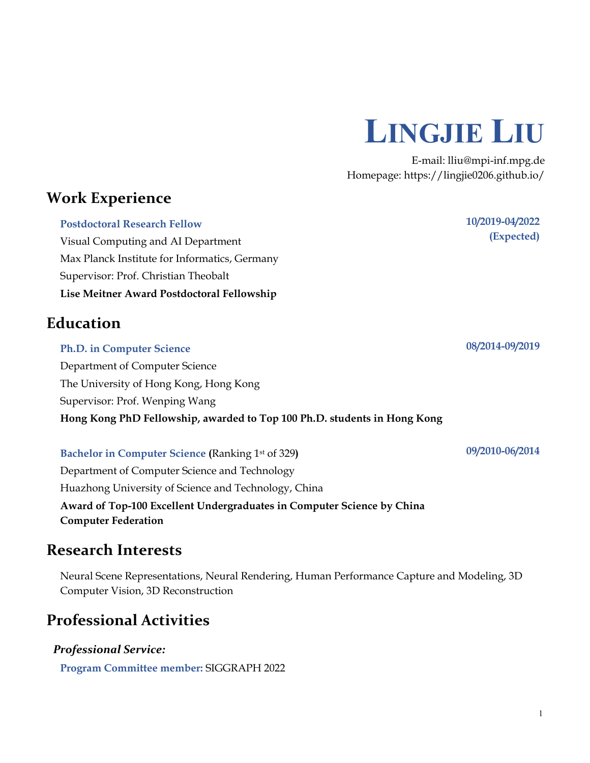

E-mail: lliu@mpi-inf.mpg.de Homepage:<https://lingjie0206.github.io/>

# **Work Experience**

**Postdoctoral Research Fellow** Visual Computing and AI Department Max Planck Institute for Informatics, Germany Supervisor: Prof. Christian Theobalt **Lise Meitner Award Postdoctoral Fellowship**

## **Education**

# **Ph.D. in Computer Science** Department of Computer Science The University of Hong Kong, Hong Kong Supervisor: Prof. Wenping Wang **Hong Kong PhD Fellowship, awarded to Top 100 Ph.D. students in Hong Kong**

### **Bachelor in Computer Science (**Ranking 1st of 329**)**

Department of Computer Science and Technology Huazhong University of Science and Technology, China **Award of Top-100 Excellent Undergraduates in Computer Science by China Computer Federation**

## **Research Interests**

Neural Scene Representations, Neural Rendering, Human Performance Capture and Modeling, 3D Computer Vision, 3D Reconstruction

# **Professional Activities**

*Professional Service:*

**Program Committee member:** SIGGRAPH 2022

**08/2014-09/2019**

**10/2019-04/2022**

**(Expected)**

**09/2010-06/2014**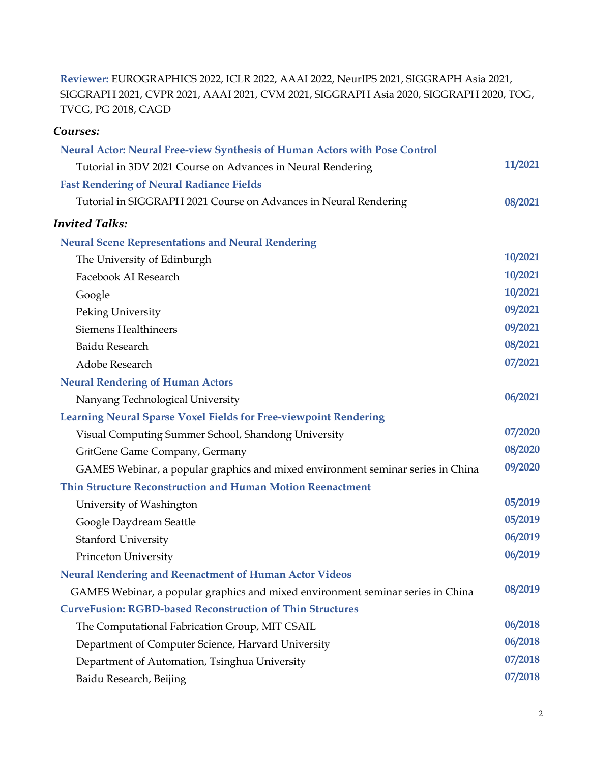**Reviewer:** EUROGRAPHICS 2022, ICLR 2022, AAAI 2022, NeurIPS 2021, SIGGRAPH Asia 2021, SIGGRAPH 2021, CVPR 2021, AAAI 2021, CVM 2021, SIGGRAPH Asia 2020, SIGGRAPH 2020, TOG, TVCG, PG 2018, CAGD

## *Courses:*

| Neural Actor: Neural Free-view Synthesis of Human Actors with Pose Control      |         |
|---------------------------------------------------------------------------------|---------|
| Tutorial in 3DV 2021 Course on Advances in Neural Rendering                     | 11/2021 |
| <b>Fast Rendering of Neural Radiance Fields</b>                                 |         |
| Tutorial in SIGGRAPH 2021 Course on Advances in Neural Rendering                | 08/2021 |
| <b>Invited Talks:</b>                                                           |         |
| <b>Neural Scene Representations and Neural Rendering</b>                        |         |
| The University of Edinburgh                                                     | 10/2021 |
| Facebook AI Research                                                            | 10/2021 |
| Google                                                                          | 10/2021 |
| Peking University                                                               | 09/2021 |
| <b>Siemens Healthineers</b>                                                     | 09/2021 |
| Baidu Research                                                                  | 08/2021 |
| Adobe Research                                                                  | 07/2021 |
| <b>Neural Rendering of Human Actors</b>                                         |         |
| Nanyang Technological University                                                | 06/2021 |
| <b>Learning Neural Sparse Voxel Fields for Free-viewpoint Rendering</b>         |         |
| Visual Computing Summer School, Shandong University                             | 07/2020 |
| GritGene Game Company, Germany                                                  | 08/2020 |
| GAMES Webinar, a popular graphics and mixed environment seminar series in China | 09/2020 |
| Thin Structure Reconstruction and Human Motion Reenactment                      |         |
| University of Washington                                                        | 05/2019 |
| Google Daydream Seattle                                                         | 05/2019 |
| <b>Stanford University</b>                                                      | 06/2019 |
| Princeton University                                                            | 06/2019 |
| <b>Neural Rendering and Reenactment of Human Actor Videos</b>                   |         |
| GAMES Webinar, a popular graphics and mixed environment seminar series in China | 08/2019 |
| <b>CurveFusion: RGBD-based Reconstruction of Thin Structures</b>                |         |
| The Computational Fabrication Group, MIT CSAIL                                  | 06/2018 |
| Department of Computer Science, Harvard University                              | 06/2018 |
| Department of Automation, Tsinghua University                                   | 07/2018 |
| Baidu Research, Beijing                                                         | 07/2018 |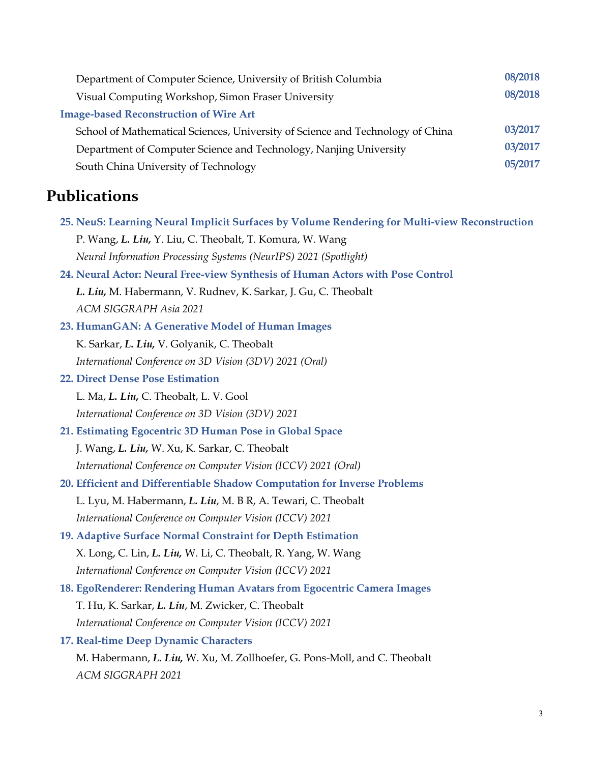| 08/2018 |
|---------|
| 08/2018 |
|         |
| 03/2017 |
| 03/2017 |
| 05/2017 |
|         |

# **Publications**

- **25. NeuS: Learning Neural Implicit Surfaces by Volume Rendering for Multi-view Reconstruction** P. Wang, *L. Liu,* Y. Liu, C. Theobalt, T. Komura, W. Wang  *Neural Information Processing Systems (NeurIPS) 2021 (Spotlight)*
- **24. Neural Actor: Neural Free-view Synthesis of Human Actors with Pose Control**  *L. Liu,* M. Habermann, V. Rudnev, K. Sarkar, J. Gu, C. Theobalt  *ACM SIGGRAPH Asia 2021*
- **23. HumanGAN: A Generative Model of Human Images** K. Sarkar, *L. Liu,* V. Golyanik, C. Theobalt  *International Conference on 3D Vision (3DV) 2021 (Oral)*
- **22. Direct Dense Pose Estimation**
	- L. Ma, *L. Liu,* C. Theobalt, L. V. Gool  *International Conference on 3D Vision (3DV) 2021*
- **21. Estimating Egocentric 3D Human Pose in Global Space** J. Wang, *L. Liu,* W. Xu, K. Sarkar, C. Theobalt  *International Conference on Computer Vision (ICCV) 2021 (Oral)*
- **20. Efficient and Differentiable Shadow Computation for Inverse Problems** L. Lyu, M. Habermann, *L. Liu*, M. B R, A. Tewari, C. Theobalt  *International Conference on Computer Vision (ICCV) 2021*
- **19. Adaptive Surface Normal Constraint for Depth Estimation** X. Long, C. Lin, *L. Liu,* W. Li, C. Theobalt, R. Yang, W. Wang  *International Conference on Computer Vision (ICCV) 2021*
- **18. EgoRenderer: Rendering Human Avatars from Egocentric Camera Images** T. Hu, K. Sarkar, *L. Liu*, M. Zwicker, C. Theobalt  *International Conference on Computer Vision (ICCV) 2021*
- **17. Real-time Deep Dynamic Characters**

 M. Habermann, *L. Liu,* W. Xu, M. Zollhoefer, G. Pons-Moll, and C. Theobalt  *ACM SIGGRAPH 2021*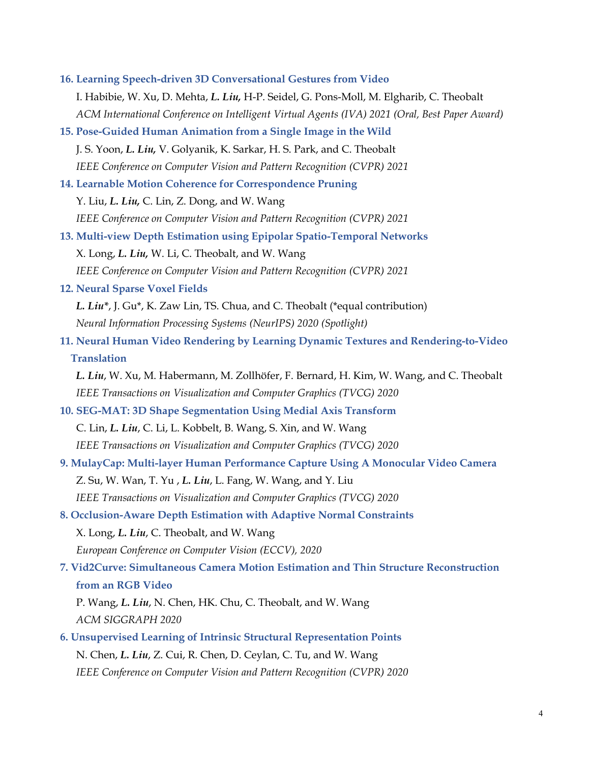- **16. Learning Speech-driven 3D Conversational Gestures from Video** I. Habibie, W. Xu, D. Mehta, *L. Liu,* H-P. Seidel, G. Pons-Moll, M. Elgharib, C. Theobalt  *ACM International Conference on Intelligent Virtual Agents (IVA) 2021 (Oral, Best Paper Award)* **15. Pose-Guided Human Animation from a Single Image in the Wild** J. S. Yoon, *L. Liu,* V. Golyanik, K. Sarkar, H. S. Park, and C. Theobalt  *IEEE Conference on Computer Vision and Pattern Recognition (CVPR) 2021* **14. Learnable Motion Coherence for Correspondence Pruning** Y. Liu, *L. Liu,* C. Lin, Z. Dong, and W. Wang  *IEEE Conference on Computer Vision and Pattern Recognition (CVPR) 2021* **13. Multi-view Depth Estimation using Epipolar Spatio-Temporal Networks** X. Long, *L. Liu,* W. Li, C. Theobalt, and W. Wang  *IEEE Conference on Computer Vision and Pattern Recognition (CVPR) 2021* **12. Neural Sparse Voxel Fields**  *L. Liu\**, J. Gu\*, K. Zaw Lin, TS. Chua, and C. Theobalt (\*equal contribution)  *Neural Information Processing Systems (NeurIPS) 2020 (Spotlight)* **11. Neural Human Video Rendering by Learning Dynamic Textures and Rendering-to-Video Translation**
	- *L. Liu*, W. Xu, M. Habermann, M. Zollhöfer, F. Bernard, H. Kim, W. Wang, and C. Theobalt  *IEEE Transactions on Visualization and Computer Graphics (TVCG) 2020*
- **10. SEG-MAT: 3D Shape Segmentation Using Medial Axis Transform** C. Lin, *L. Liu*, C. Li, L. Kobbelt, B. Wang, S. Xin, and W. Wang  *IEEE Transactions on Visualization and Computer Graphics (TVCG) 2020*
- **9. MulayCap: Multi-layer Human Performance Capture Using A Monocular Video Camera** Z. Su, W. Wan, T. Yu , *L. Liu*, L. Fang, W. Wang, and Y. Liu  *IEEE Transactions on Visualization and Computer Graphics (TVCG) 2020*
- **8. Occlusion-Aware Depth Estimation with Adaptive Normal Constraints** X. Long, *L. Liu*, C. Theobalt, and W. Wang  *European Conference on Computer Vision (ECCV), 2020*

# **7. Vid2Curve: Simultaneous Camera Motion Estimation and Thin Structure Reconstruction from an RGB Video**

- P. Wang, *L. Liu*, N. Chen, HK. Chu, C. Theobalt, and W. Wang  *ACM SIGGRAPH 2020*
- **6. Unsupervised Learning of Intrinsic Structural Representation Points** N. Chen, *L. Liu*, Z. Cui, R. Chen, D. Ceylan, C. Tu, and W. Wang  *IEEE Conference on Computer Vision and Pattern Recognition (CVPR) 2020*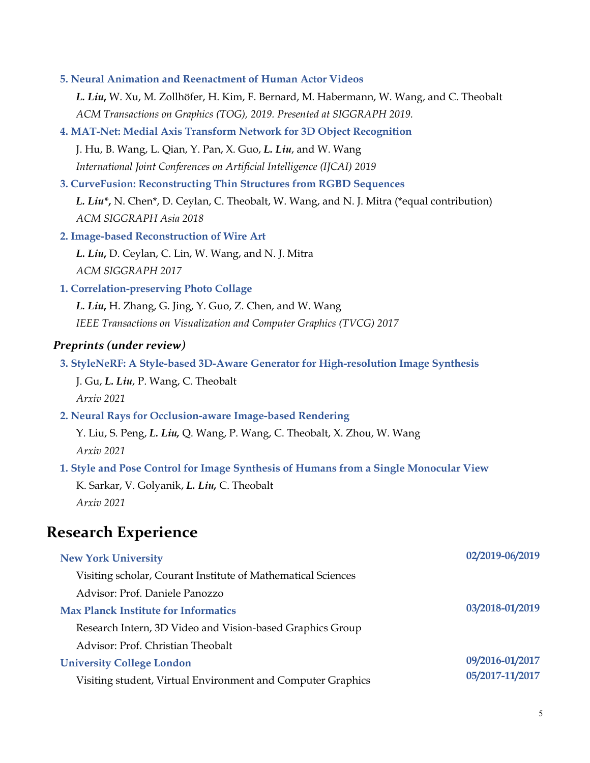**5. Neural Animation and Reenactment of Human Actor Videos**

 *L. Liu***,** W. Xu, M. Zollhöfer, H. Kim, F. Bernard, M. Habermann, W. Wang, and C. Theobalt  *ACM Transactions on Graphics (TOG), 2019. Presented at SIGGRAPH 2019.*

**4. MAT-Net: Medial Axis Transform Network for 3D Object Recognition**

 J. Hu, B. Wang, L. Qian, Y. Pan, X. Guo, *L. Liu*, and W. Wang  *International Joint Conferences on Artificial Intelligence (IJCAI) 2019*

#### **3. CurveFusion: Reconstructing Thin Structures from RGBD Sequences**

 *L. Liu\****,** N. Chen\*, D. Ceylan, C. Theobalt, W. Wang, and N. J. Mitra (\*equal contribution)  *ACM SIGGRAPH Asia 2018*

- **2. Image-based Reconstruction of Wire Art**
	- *L. Liu***,** D. Ceylan, C. Lin, W. Wang, and N. J. Mitra  *ACM SIGGRAPH 2017*

#### **1. Correlation-preserving Photo Collage**

 *L. Liu***,** H. Zhang, G. Jing, Y. Guo, Z. Chen, and W. Wang  *IEEE Transactions on Visualization and Computer Graphics (TVCG) 2017*

#### *Preprints (under review)*

**3. StyleNeRF: A Style-based 3D-Aware Generator for High-resolution Image Synthesis**

 J. Gu, *L. Liu*, P. Wang, C. Theobalt  *Arxiv 2021*

**2. Neural Rays for Occlusion-aware Image-based Rendering**

 Y. Liu, S. Peng, *L. Liu,* Q. Wang, P. Wang, C. Theobalt, X. Zhou, W. Wang  *Arxiv 2021*

#### **1. Style and Pose Control for Image Synthesis of Humans from a Single Monocular View**

 K. Sarkar, V. Golyanik, *L. Liu,* C. Theobalt  *Arxiv 2021*

## **Research Experience**

| <b>New York University</b>                                   | 02/2019-06/2019 |
|--------------------------------------------------------------|-----------------|
| Visiting scholar, Courant Institute of Mathematical Sciences |                 |
| Advisor: Prof. Daniele Panozzo                               |                 |
| <b>Max Planck Institute for Informatics</b>                  | 03/2018-01/2019 |
| Research Intern, 3D Video and Vision-based Graphics Group    |                 |
| Advisor: Prof. Christian Theobalt                            |                 |
| <b>University College London</b>                             | 09/2016-01/2017 |
| Visiting student, Virtual Environment and Computer Graphics  | 05/2017-11/2017 |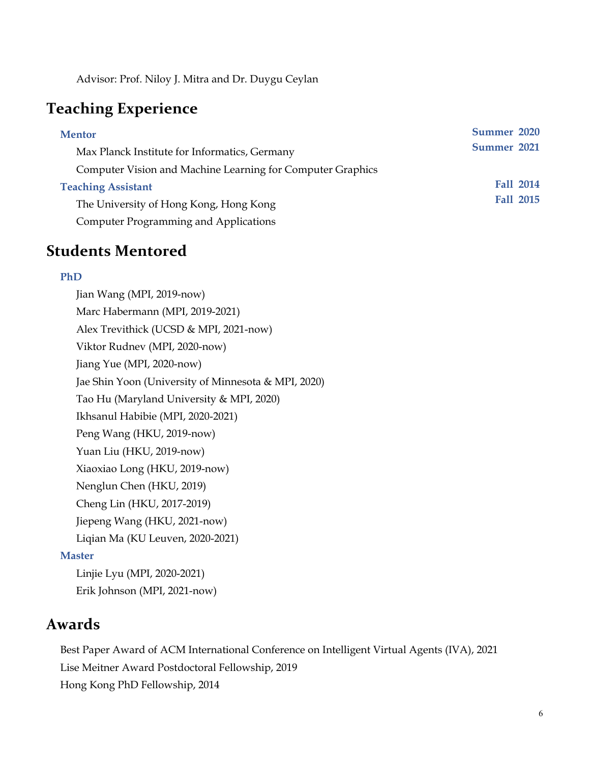Advisor: Prof. Niloy J. Mitra and Dr. Duygu Ceylan

# **Teaching Experience**

| <b>Mentor</b>                                              | Summer 2020      |
|------------------------------------------------------------|------------------|
| Max Planck Institute for Informatics, Germany              | Summer 2021      |
| Computer Vision and Machine Learning for Computer Graphics |                  |
| <b>Teaching Assistant</b>                                  | <b>Fall 2014</b> |
| The University of Hong Kong, Hong Kong                     | <b>Fall 2015</b> |
| <b>Computer Programming and Applications</b>               |                  |

# **Students Mentored**

#### **PhD**

Jian Wang (MPI, 2019-now) Marc Habermann (MPI, 2019-2021) Alex Trevithick (UCSD & MPI, 2021-now) Viktor Rudnev (MPI, 2020-now) Jiang Yue (MPI, 2020-now) Jae Shin Yoon (University of Minnesota & MPI, 2020) Tao Hu (Maryland University & MPI, 2020) Ikhsanul Habibie (MPI, 2020-2021) Peng Wang (HKU, 2019-now) Yuan Liu (HKU, 2019-now) Xiaoxiao Long (HKU, 2019-now) Nenglun Chen (HKU, 2019) Cheng Lin (HKU, 2017-2019) Jiepeng Wang (HKU, 2021-now) Liqian Ma (KU Leuven, 2020-2021) **Master**

 Linjie Lyu (MPI, 2020-2021) Erik Johnson (MPI, 2021-now)

## **Awards**

Best Paper Award of ACM International Conference on Intelligent Virtual Agents (IVA), 2021 Lise Meitner Award Postdoctoral Fellowship, 2019 Hong Kong PhD Fellowship, 2014